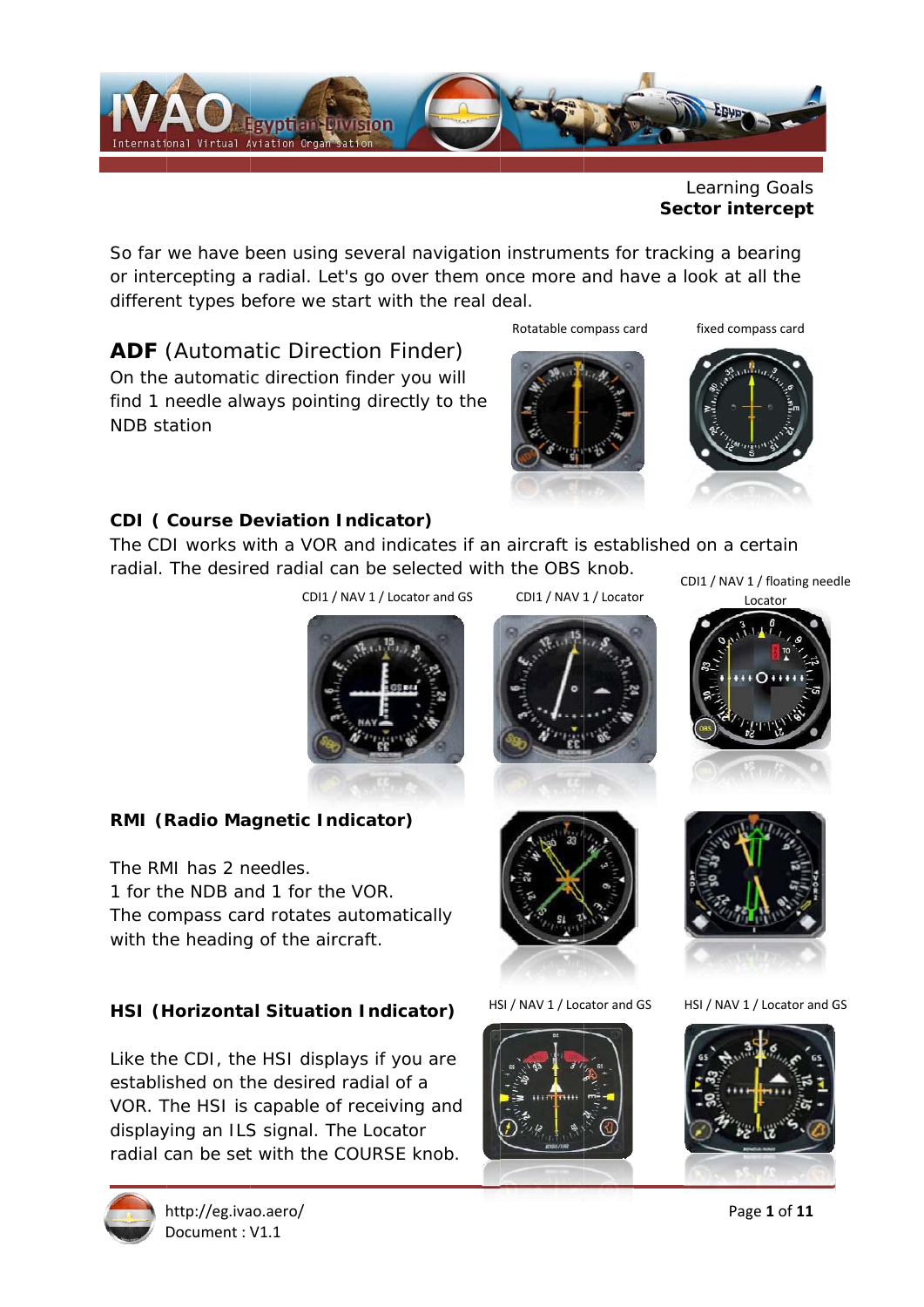

Learning Goals **Sector intercept** 

So far we have been using several navigation instruments for tracking a bearing or intercepting a radial. Let's go over them once more and have a look at all the different types before we start with the real deal.

**ADF** (Automatic Direction Finder) On the automatic direction finder you will find 1 needle always pointing directly to the **NDB** station

Rotatable compass card

fixed compass card



### **CDI (Course Deviation Indicator)**

The CDI works with a VOR and indicates if an aircraft is established on a certain radial. The desired radial can be selected with the OBS knob.

CDI1 / NAV 1 / Locator and GS

CDI1 / NAV 1 / Locator



RMI (Radio Magnetic Indicator)

The RMI has 2 needles 1 for the NDB and 1 for the VOR. The compass card rotates automatically with the heading of the aircraft.

### **HSI** (Horizontal Situation Indicator)

Like the CDI, the HSI displays if you are established on the desired radial of a VOR. The HSI is capable of receiving and displaying an ILS signal. The Locator radial can be set with the COURSE knob.



HSI / NAV 1 / Locator and GS



CDI1 / NAV 1 / floating needle





HSI / NAV 1 / Locator and GS



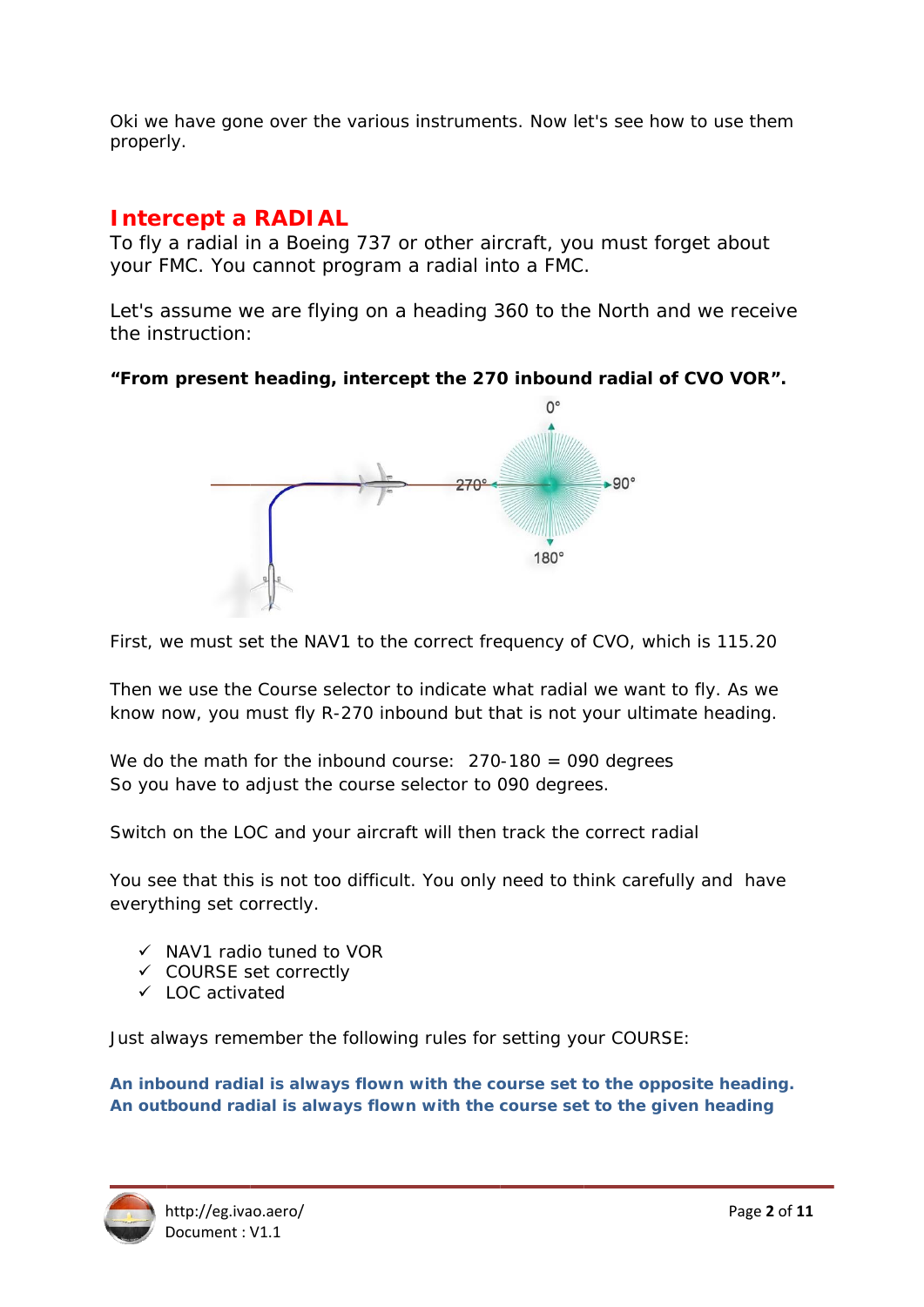Oki we have gone over the various instruments. Now let's see how to use them properly.

## **Intercept a RADIAL**

To fly a radial in a Boeing 737 or other aircraft, you must forget about your FMC. You cannot program a radial into a FMC.

Let's assume we are flying on a heading 360 to the North and we receive the instruction:

### "From present heading, intercept the 270 inbound radial of CVO VOR".



First, we must set the NAV1 to the correct frequency of CVO, which is 115.20

Then we use the Course selector to indicate what radial we want to fly. As we know now, you must fly R-270 inbound but that is not your ultimate heading.

We do the math for the inbound course:  $270-180 = 090$  degrees So vou have to adjust the course selector to 090 degrees.

Switch on the LOC and your aircraft will then track the correct radial

You see that this is not too difficult. You only need to think carefully and have everything set correctly.

- $\checkmark$  NAV1 radio tuned to VOR
- ← COURSE set correctly
- $\checkmark$  LOC activated

Just always remember the following rules for setting your COURSE:

An inbound radial is always flown with the course set to the opposite heading. An outbound radial is always flown with the course set to the given heading

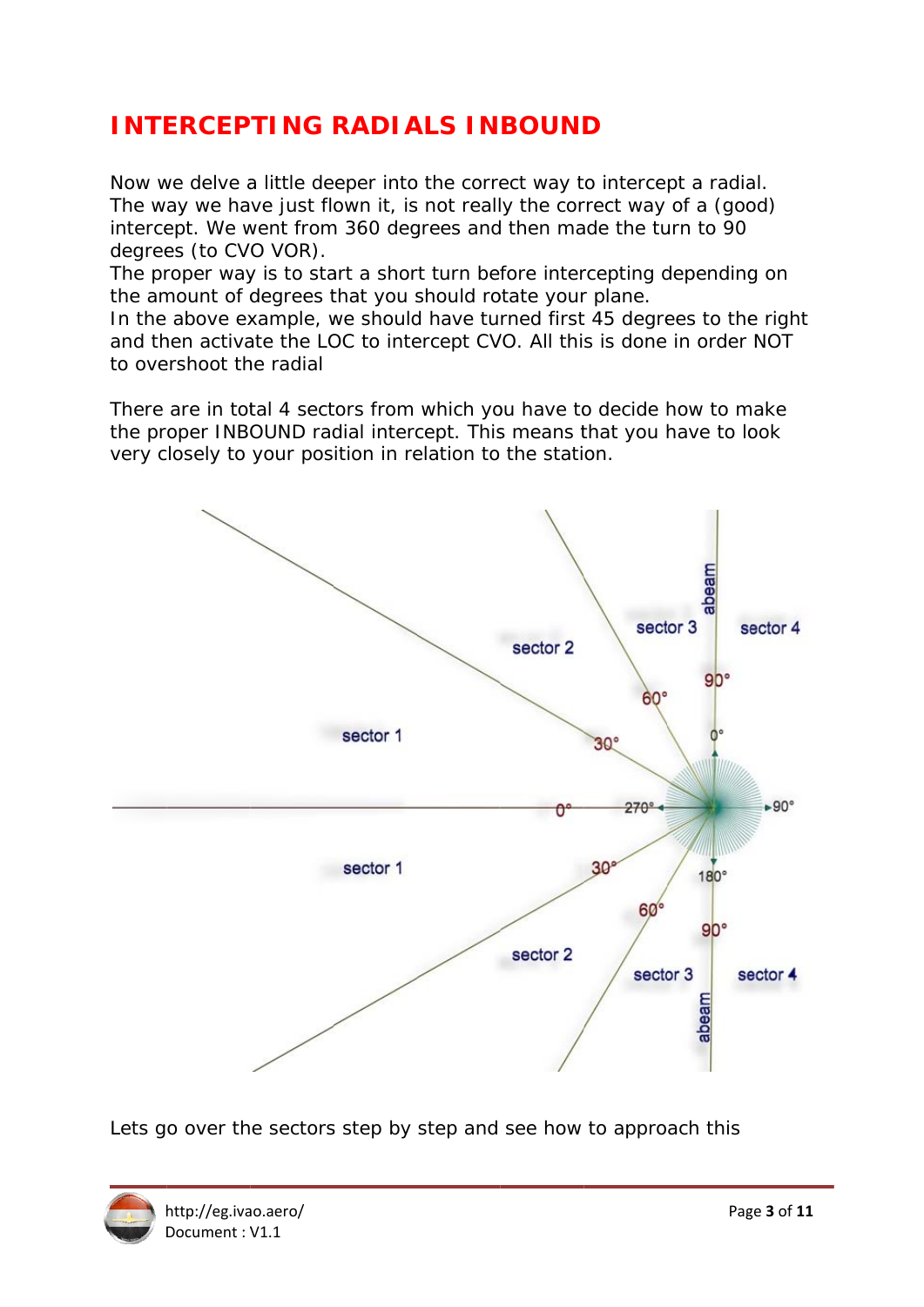# **INTERCEPTING RADIALS INBOUND**

Now we delve a little deeper into the correct way to intercept a radial. The way we have just flown it, is not really the correct way of a (good) intercept. We went from 360 degrees and then made the turn to 90 degrees (to CVO VOR).

The proper way is to start a short turn before intercepting depending on the amount of degrees that you should rotate your plane.

In the above example, we should have turned first 45 degrees to the right and then activate the LOC to intercept CVO. All this is done in order NOT to overshoot the radial

There are in total 4 sectors from which you have to decide how to make the proper INBOUND radial intercept. This means that you have to look very closely to your position in relation to the station.



Lets go over the sectors step by step and see how to approach this

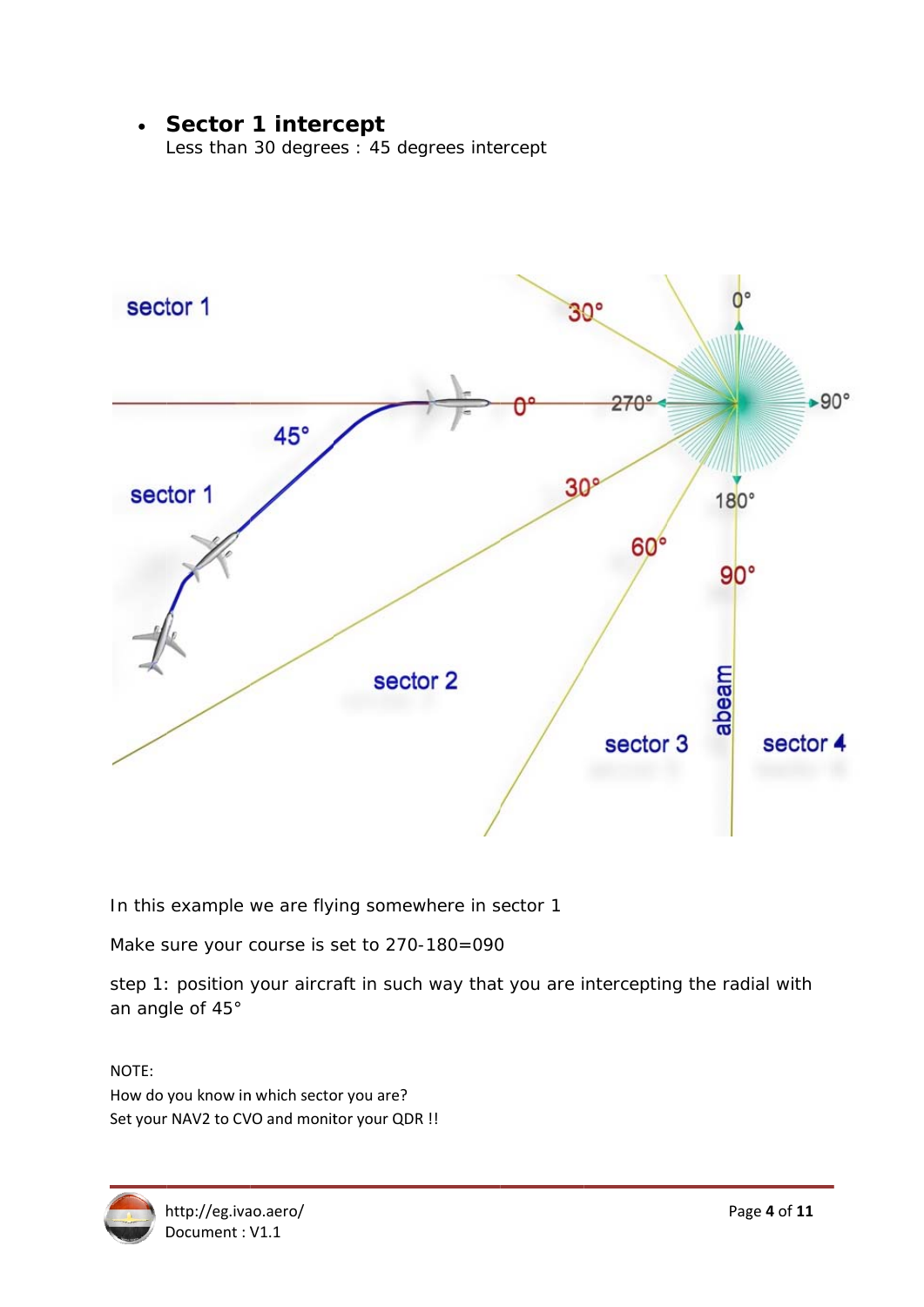## • Sector 1 intercept

Less than 30 degrees : 45 degrees intercept



In this example we are flying somewhere in sector 1

Make sure your course is set to 270-180=090

step 1: position your aircraft in such way that you are intercepting the radial with an angle of 45°

NOTE: How do you know in which sector you are? Set your NAV2 to CVO and monitor your QDR !!

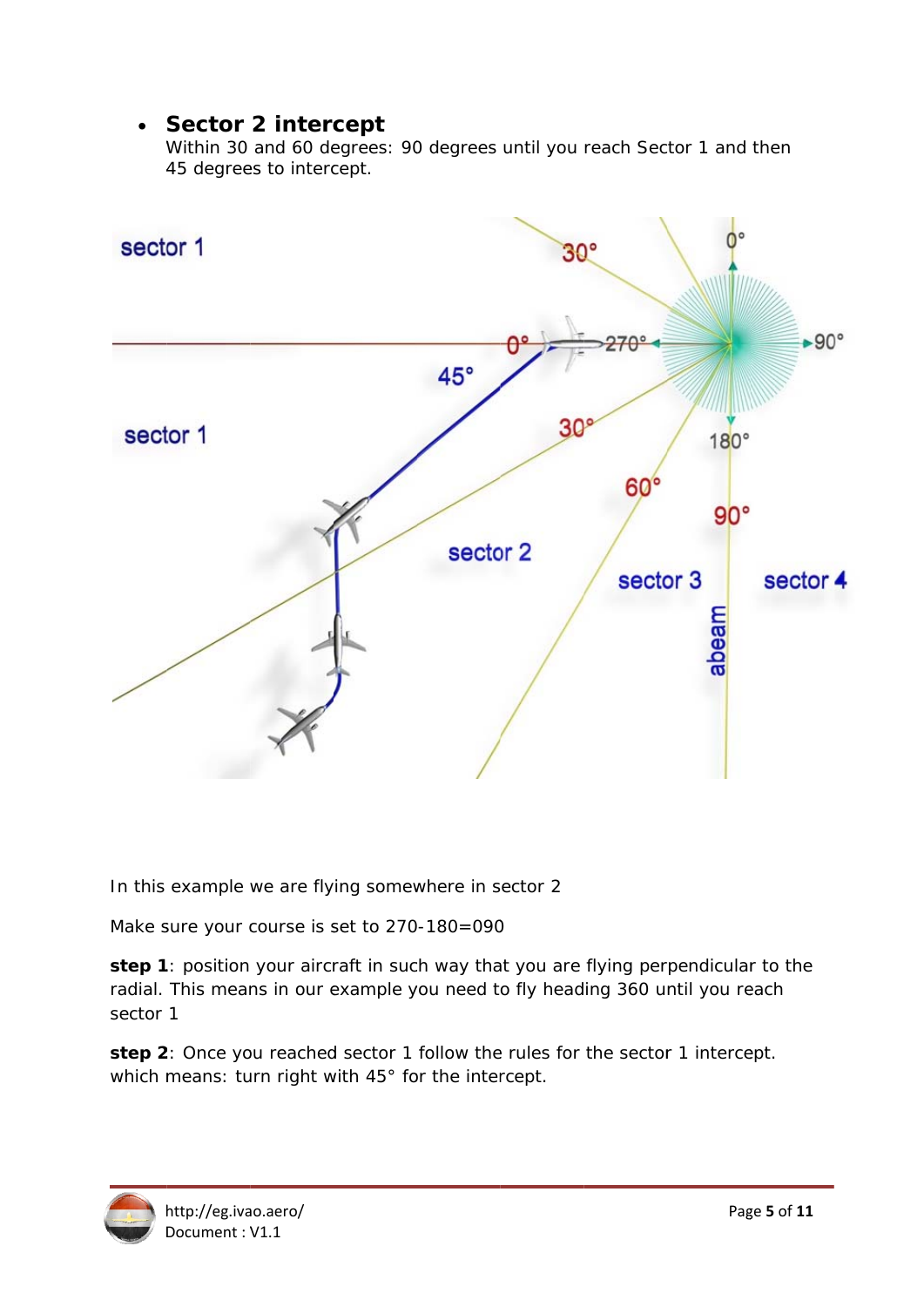## • Sector 2 intercept

Within 30 and 60 degrees: 90 degrees until you reach Sector 1 and then 45 degrees to intercept.



In this example we are flying somewhere in sector 2

Make sure your course is set to 270-180=090

Make sure your course is set to 270-180=090<br>**step 1**: position your aircraft in such way that you are flying perpendicular to the radial. This means in our example you need to fly heading 360 until you reach sector 1

step 2: Once you reached sector 1 follow the rules for the sector 1 intercept. which means: turn right with  $45^\circ$  for the intercept.

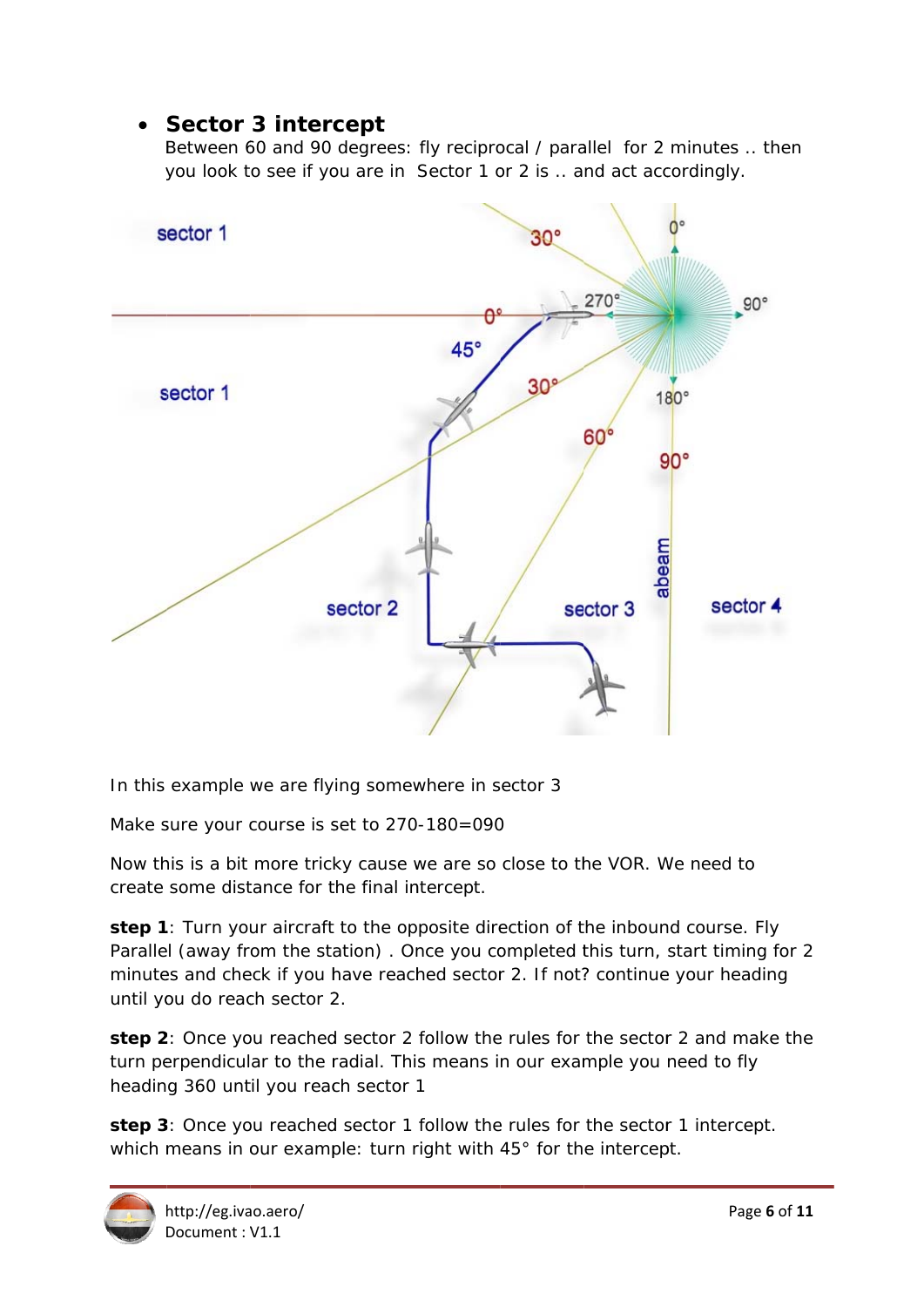## • Sector 3 intercept

Between 60 and 90 degrees: fly reciprocal / parallel for 2 minutes .. then you look to see if you are in Sector 1 or 2 is .. and act accordingly.



In this example we are flying somewhere in sector 3

Make sure your course is set to 270-180=090

Make sure your course is set to 270-180=090<br>Now this is a bit more tricky cause we are so close to the VOR. We need to create some distance for the final intercept. Now this is a bit more tricky cause we are so close to the VOR. We need to<br>create some distance for the final intercept.<br>**step 1**: Turn your aircraft to the opposite direction of the inbound course. Fly

Parallel (away from the station). Once you completed this turn, start timing for 2 minutes and check if you have reached sector 2. If not? continue your heading until you do reach sector 2.

step 2: Once you reached sector 2 follow the rules for the sector 2 and make the turn perpendicular to the radial. This means in our example you need to fly heading 360 until you reach sector 1 turn perpendicular to the radial. This means in our example you need to fly<br>heading 360 until you reach sector 1<br>**step 3**: Once you reached sector 1 follow the rules for the sector 1 intercept.

which means in our example: turn right with  $45^{\circ}$  for the intercept.

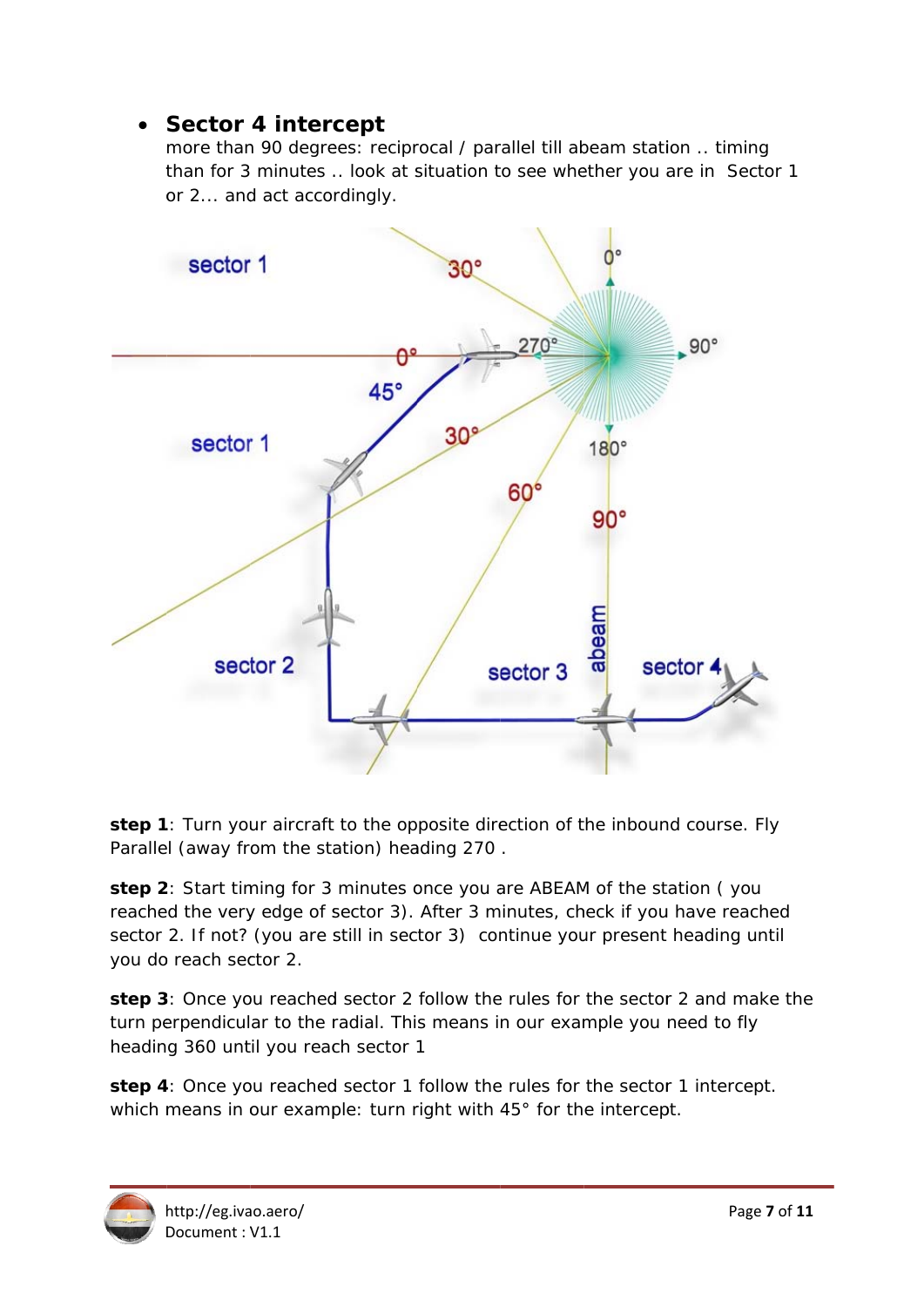## • Sector 4 intercept

more than 90 degrees: reciprocal / parallel till abeam station .. timing than for 3 minutes .. look at situation to see whether you are in Sector 1 or 2... and act accordingly.



step 1: Turn your aircraft to the opposite direction of the inbound course. Fly Parallel (away from the station) heading 270.

step 2: Start timing for 3 minutes once you are ABEAM of the station (you reached the very edge of sector 3). After 3 minutes, check if you have reached sector 2. If not? (you are still in sector 3) continue your present heading until you do reach sector 2.

step 3: Once you reached sector 2 follow the rules for the sector 2 and make the turn perpendicular to the radial. This means in our example you need to fly heading 360 until you reach sector 1

step 4: Once you reached sector 1 follow the rules for the sector 1 intercept. which means in our example: turn right with 45° for the intercept.

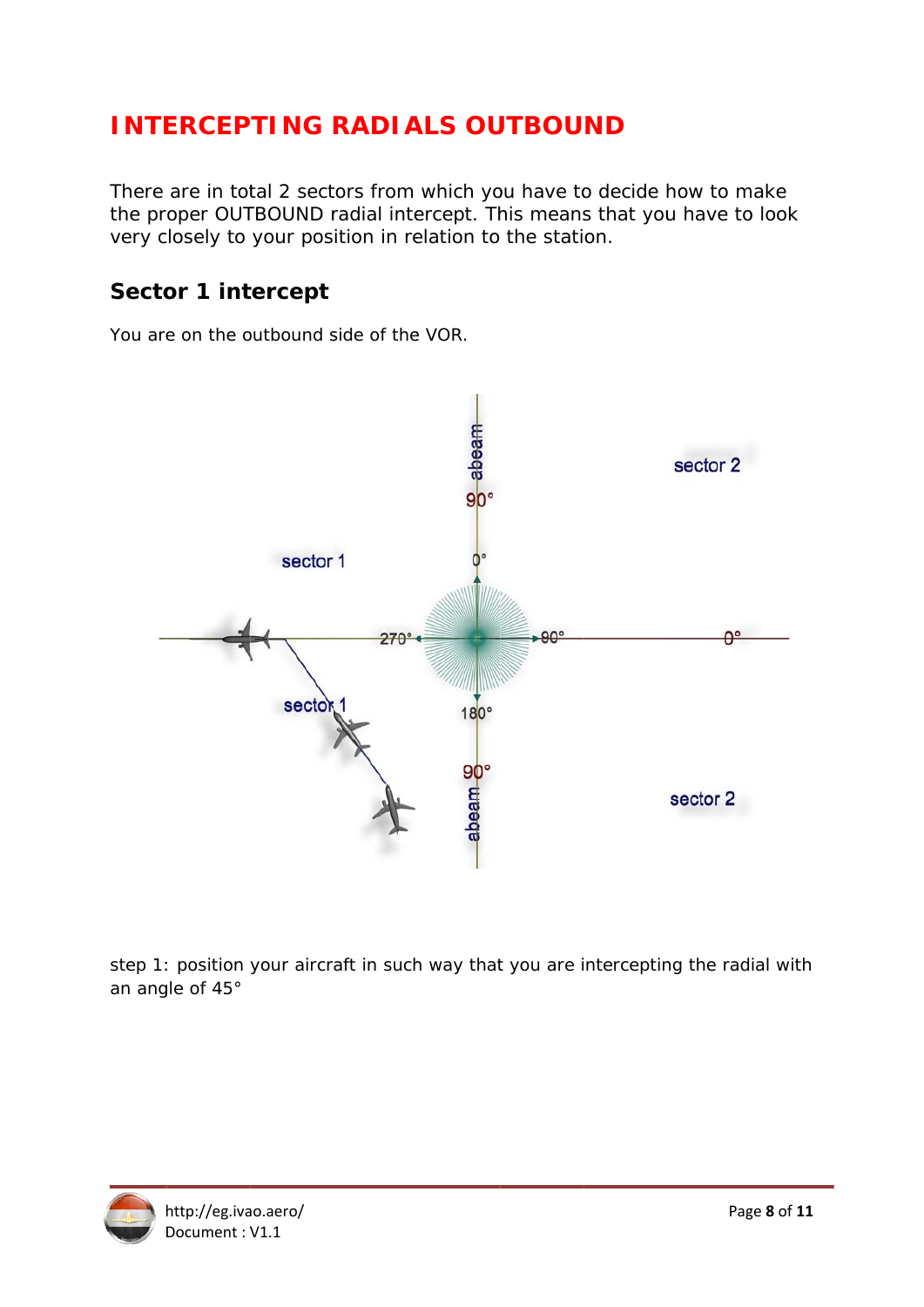# **INTERCEPTING RADIALS OUTBOUND**

There are in total 2 sectors from which you have to decide how to make the proper OUTBOUND radial intercept. This means that you have to look very closely to your position in relation to the station.

## **Sector 1 intercept**

You are on the outbound side of the VOR.



step 1: position your aircraft in such way that you are intercepting the radial with an angle of 45°

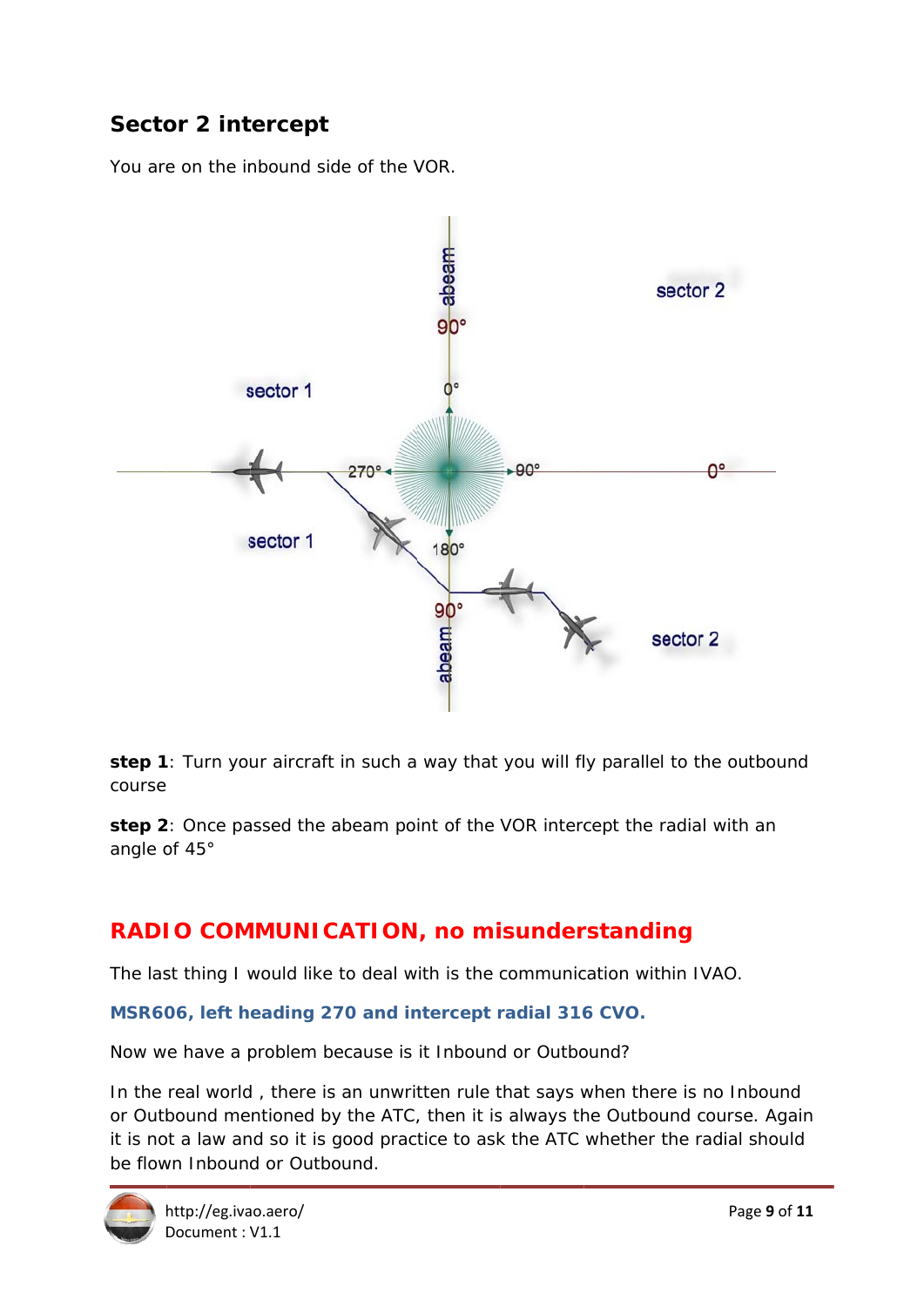## **Sector 2 intercept**

You are on the inbound side of the VOR.



step 1: Turn your aircraft in such a way that you will fly parallel to the outbound course

step 2: Once passed the abeam point of the VOR intercept the radial with an angle of 45°

## RADIO COMMUNICATION, no misunderstanding

The last thing I would like to deal with is the communication within IVAO.

#### MSR606, left heading 270 and intercept radial 316 CVO.

Now we have a problem because is it Inbound or Outbound?

In the real world, there is an unwritten rule that says when there is no Inbound or Outbound mentioned by the ATC, then it is always the Outbound course. Again it is not a law and so it is good practice to ask the ATC whether the radial should be flown Inbound or Outbound.

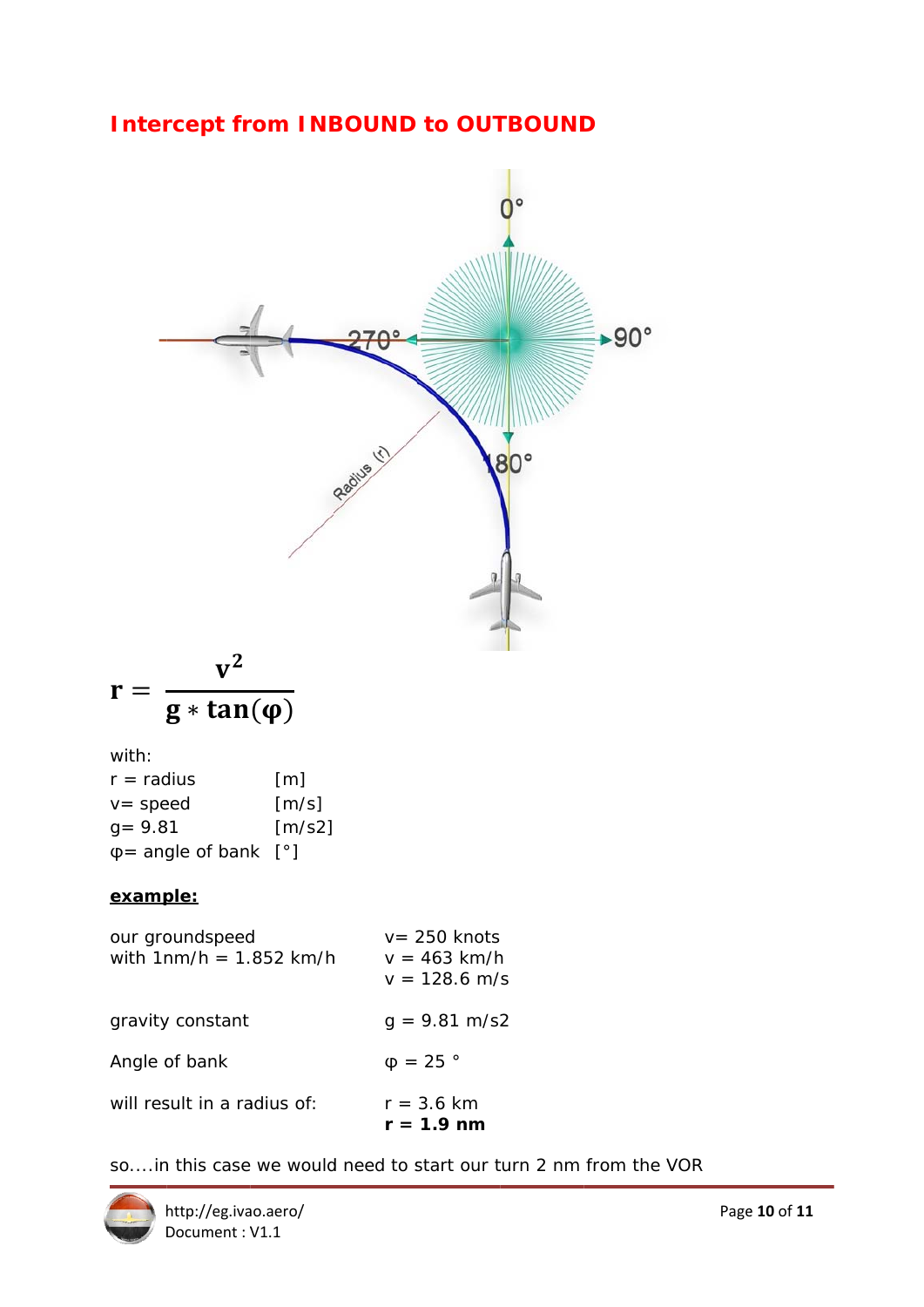## **Intercept from INBOUND to OUTBOUND**



$$
r = \frac{v^2}{g * tan(\phi)}
$$

with:

| $r =$ radius              | [m]                          |
|---------------------------|------------------------------|
| $v = speed$               | [m/s]                        |
| $q = 9.81$                | $\left[\frac{m}{s^2}\right]$ |
| $\varphi$ = angle of bank | $\vert$ $\circ$ $\vert$      |

#### example:

| our groundspeed<br>with $1nm/h = 1.852$ km/h | $v = 250$ knots<br>$v = 463$ km/h<br>$v = 128.6$ m/s |
|----------------------------------------------|------------------------------------------------------|
| gravity constant                             | $q = 9.81 \text{ m/s2}$                              |
| Angle of bank                                | $\phi = 25$ °                                        |
| will result in a radius of:                  | $r = 3.6$ km<br>$r = 1.9$ nm                         |

so....in this case we would need to start our turn 2 nm from the VOR